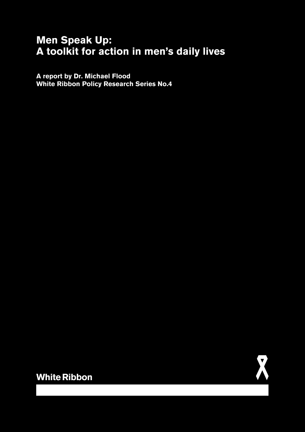# **Men Speak Up: A toolkit for action in men's daily lives**

**A report by Dr. Michael Flood White Ribbon Policy Research Series No.4**



# **White Ribbon**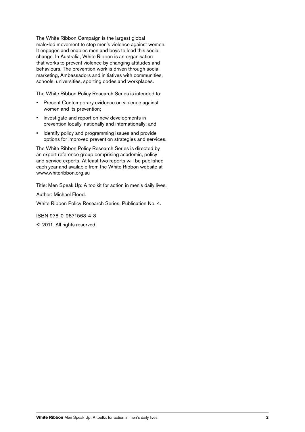The White Ribbon Campaign is the largest global male‑led movement to stop men's violence against women. It engages and enables men and boys to lead this social change. In Australia, White Ribbon is an organisation that works to prevent violence by changing attitudes and behaviours. The prevention work is driven through social marketing, Ambassadors and initiatives with communities, schools, universities, sporting codes and workplaces.

The White Ribbon Policy Research Series is intended to:

- Present Contemporary evidence on violence against women and its prevention;
- Investigate and report on new developments in prevention locally, nationally and internationally; and
- • Identify policy and programming issues and provide options for improved prevention strategies and services.

The White Ribbon Policy Research Series is directed by an expert reference group comprising academic, policy and service experts. At least two reports will be published each year and available from the White Ribbon website at www.whiteribbon.org.au

Title: Men Speak Up: A toolkit for action in men's daily lives.

Author: Michael Flood.

White Ribbon Policy Research Series, Publication No. 4.

ISBN 978-0-9871563-4-3

© 2011. All rights reserved.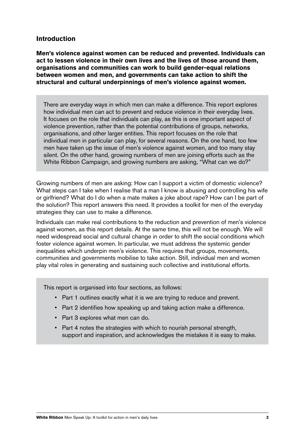### **Introduction**

**Men's violence against women can be reduced and prevented. Individuals can act to lessen violence in their own lives and the lives of those around them, organisations and communities can work to build gender‑equal relations between women and men, and governments can take action to shift the structural and cultural underpinnings of men's violence against women.** 

There are everyday ways in which men can make a difference. This report explores how individual men can act to prevent and reduce violence in their everyday lives. It focuses on the role that individuals can play, as this is one important aspect of violence prevention, rather than the potential contributions of groups, networks, organisations, and other larger entities. This report focuses on the role that individual men in particular can play, for several reasons. On the one hand, too few men have taken up the issue of men's violence against women, and too many stay silent. On the other hand, growing numbers of men are joining efforts such as the White Ribbon Campaign, and growing numbers are asking, "What can we do?"

Growing numbers of men are asking: How can I support a victim of domestic violence? What steps can I take when I realise that a man I know is abusing and controlling his wife or girlfriend? What do I do when a mate makes a joke about rape? How can I be part of the solution? This report answers this need. It provides a toolkit for men of the everyday strategies they can use to make a difference.

Individuals can make real contributions to the reduction and prevention of men's violence against women, as this report details. At the same time, this will not be enough. We will need widespread social and cultural change in order to shift the social conditions which foster violence against women. In particular, we must address the systemic gender inequalities which underpin men's violence. This requires that groups, movements, communities and governments mobilise to take action. Still, individual men and women play vital roles in generating and sustaining such collective and institutional efforts.

This report is organised into four sections, as follows:

- Part 1 outlines exactly what it is we are trying to reduce and prevent.
- Part 2 identifies how speaking up and taking action make a difference.
- Part 3 explores what men can do.
- Part 4 notes the strategies with which to nourish personal strength, support and inspiration, and acknowledges the mistakes it is easy to make.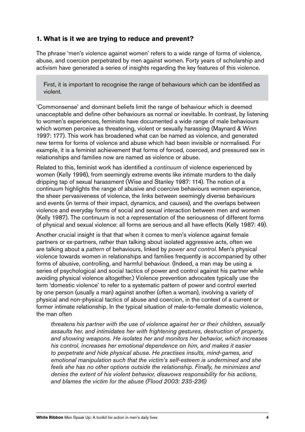# **1. What is it we are trying to reduce and prevent?**

The phrase 'men's violence against women' refers to a wide range of forms of violence, abuse, and coercion perpetrated by men against women. Forty years of scholarship and activism have generated a series of insights regarding the key features of this violence.

First, it is important to recognise the range of behaviours which can be identified as violent.

'Commonsense' and dominant beliefs limit the range of behaviour which is deemed unacceptable and define other behaviours as normal or inevitable. In contrast, by listening to women's experiences, feminists have documented a wide range of male behaviours which women perceive as threatening, violent or sexually harassing (Maynard & Winn 1997: 177). This work has broadened what can be named as violence, and generated new terms for forms of violence and abuse which had been invisible or normalised. For example, it is a feminist achievement that forms of forced, coerced, and pressured sex in relationships and families now are named as violence or abuse.

Related to this, feminist work has identified a *continuum* of violence experienced by women (Kelly 1996), from seemingly extreme events like intimate murders to the daily dripping tap of sexual harassment (Wise and Stanley 1987: 114). The notion of a continuum highlights the range of abusive and coercive behaviours women experience, the sheer pervasiveness of violence, the links between seemingly diverse behaviours and events (in terms of their impact, dynamics, and causes), and the overlaps between violence and everyday forms of social and sexual interaction between men and women (Kelly 1987). The continuum is not a representation of the seriousness of different forms of physical and sexual violence: all forms are serious and all have effects (Kelly 1987: 49).

Another crucial insight is that that when it comes to men's violence against female partners or ex‑partners, rather than talking about isolated aggressive acts, often we are talking about a *pattern* of behaviours, linked by *power and control*. Men's physical violence towards women in relationships and families frequently is accompanied by other forms of abusive, controlling, and harmful behaviour. (Indeed, a man may be using a series of psychological and social tactics of power and control against his partner while avoiding physical violence altogether.) Violence prevention advocates typically use the term 'domestic violence' to refer to a systematic pattern of power and control exerted by one person (usually a man) against another (often a woman), involving a variety of physical and non‑physical tactics of abuse and coercion, in the context of a current or former intimate relationship. In the typical situation of male-to-female domestic violence, the man often

*threatens his partner with the use of violence against her or their children, sexually assaults her, and intimidates her with frightening gestures, destruction of property, and showing weapons. He isolates her and monitors her behavior, which increases his control, increases her emotional dependence on him, and makes it easier to perpetrate and hide physical abuse. He practises insults, mind‑games, and emotional manipulation such that the victim's self‑esteem is undermined and she feels she has no other options outside the relationship. Finally, he minimizes and denies the extent of his violent behavior, disavows responsibility for his actions, and blames the victim for the abuse (Flood 2003: 235‑236)*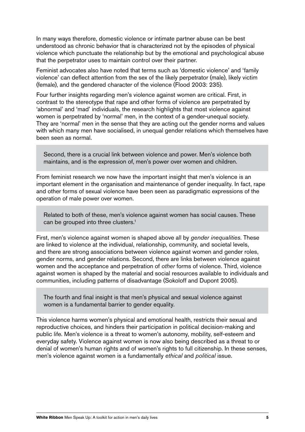In many ways therefore, domestic violence or intimate partner abuse can be best understood as chronic behavior that is characterized not by the episodes of physical violence which punctuate the relationship but by the emotional and psychological abuse that the perpetrator uses to maintain control over their partner.

Feminist advocates also have noted that terms such as 'domestic violence' and 'family violence' can deflect attention from the sex of the likely perpetrator (male), likely victim (female), and the gendered character of the violence (Flood 2003: 235).

Four further insights regarding men's violence against women are critical. First, in contrast to the stereotype that rape and other forms of violence are perpetrated by 'abnormal' and 'mad' individuals, the research highlights that most violence against women is perpetrated by 'normal' men, in the context of a gender-unequal society. They are 'normal' men in the sense that they are acting out the gender norms and values with which many men have socialised, in unequal gender relations which themselves have been seen as normal.

Second, there is a crucial link between violence and power. Men's violence both maintains, and is the expression of, men's power over women and children.

From feminist research we now have the important insight that men's violence is an important element in the organisation and maintenance of gender inequality. In fact, rape and other forms of sexual violence have been seen as paradigmatic expressions of the operation of male power over women.

Related to both of these, men's violence against women has social causes. These can be grouped into three clusters.<sup>1</sup>

First, men's violence against women is shaped above all by *gender inequalities*. These are linked to violence at the individual, relationship, community, and societal levels, and there are strong associations between violence against women and gender roles, gender norms, and gender relations. Second, there are links between violence against women and the acceptance and perpetration of *other* forms of violence. Third, violence against women is shaped by the material and social resources available to individuals and communities, including patterns of disadvantage (Sokoloff and Dupont 2005).

The fourth and final insight is that men's physical and sexual violence against women is a fundamental barrier to gender equality.

This violence harms women's physical and emotional health, restricts their sexual and reproductive choices, and hinders their participation in political decision-making and public life. Men's violence is a threat to women's autonomy, mobility, self-esteem and everyday safety. Violence against women is now also being described as a threat to or denial of women's human rights and of women's rights to full citizenship. In these senses, men's violence against women is a fundamentally *ethical* and *political* issue.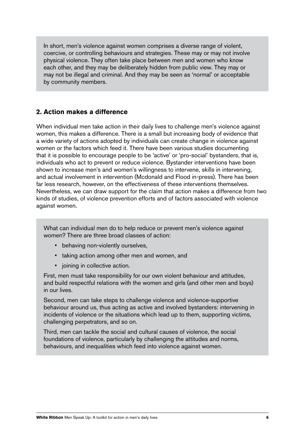In short, men's violence against women comprises a diverse range of violent, coercive, or controlling behaviours and strategies. These may or may not involve physical violence. They often take place between men and women who know each other, and they may be deliberately hidden from public view. They may or may not be illegal and criminal. And they may be seen as 'normal' or acceptable by community members.

# **2. Action makes a difference**

When individual men take action in their daily lives to challenge men's violence against women, this makes a difference. There is a small but increasing body of evidence that a wide variety of actions adopted by individuals can create change in violence against women or the factors which feed it. There have been various studies documenting that it is possible to encourage people to be 'active' or 'pro‑social' bystanders, that is, individuals who act to prevent or reduce violence. Bystander interventions have been shown to increase men's and women's willingness to intervene, skills in intervening, and actual involvement in intervention (Mcdonald and Flood in‑press). There has been far less research, however, on the effectiveness of these interventions themselves. Nevertheless, we can draw support for the claim that action makes a difference from two kinds of studies, of violence prevention efforts and of factors associated with violence against women.

What can individual men do to help reduce or prevent men's violence against women? There are three broad classes of action:

- behaving non-violently ourselves,
- taking action among other men and women, and
- joining in collective action.

First, men must take responsibility for our own violent behaviour and attitudes, and build respectful relations with the women and girls (and other men and boys) in our lives.

Second, men can take steps to challenge violence and violence-supportive behaviour around us, thus acting as active and involved bystanders: intervening in incidents of violence or the situations which lead up to them, supporting victims, challenging perpetrators, and so on.

Third, men can tackle the social and cultural causes of violence, the social foundations of violence, particularly by challenging the attitudes and norms, behaviours, and inequalities which feed into violence against women.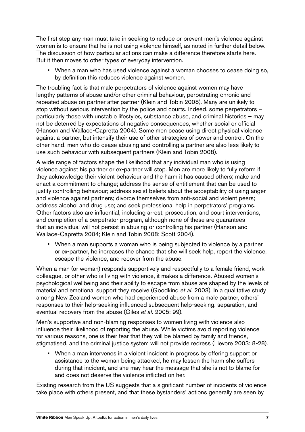The first step any man must take in seeking to reduce or prevent men's violence against women is to ensure that he is not using violence himself, as noted in further detail below. The discussion of how particular actions can make a difference therefore starts here. But it then moves to other types of everyday intervention.

• When a man who has used violence against a woman chooses to cease doing so, by definition this reduces violence against women.

The troubling fact is that male perpetrators of violence against women may have lengthy patterns of abuse and/or other criminal behaviour, perpetrating chronic and repeated abuse on partner after partner (Klein and Tobin 2008). Many are unlikely to stop without serious intervention by the police and courts. Indeed, some perpetrators – particularly those with unstable lifestyles, substance abuse, and criminal histories – may not be deterred by expectations of negative consequences, whether social or official (Hanson and Wallace‑Capretta 2004). Some men cease using direct physical violence against a partner, but intensify their use of other strategies of power and control. On the other hand, men who do cease abusing and controlling a partner are also less likely to use such behaviour with subsequent partners (Klein and Tobin 2008).

A wide range of factors shape the likelihood that any individual man who is using violence against his partner or ex‑partner will stop. Men are more likely to fully reform if they acknowledge their violent behaviour and the harm it has caused others; make and enact a commitment to change; address the sense of entitlement that can be used to justify controlling behaviour; address sexist beliefs about the acceptability of using anger and violence against partners; divorce themselves from anti-social and violent peers; address alcohol and drug use; and seek professional help in perpetrators' programs. Other factors also are influential, including arrest, prosecution, and court interventions, and completion of a perpetrator program, although none of these are guarantees that an individual will not persist in abusing or controlling his partner (Hanson and Wallace‑Capretta 2004; Klein and Tobin 2008; Scott 2004).

• When a man supports a woman who is being subjected to violence by a partner or ex‑partner, he increases the chance that she will seek help, report the violence, escape the violence, and recover from the abuse.

When a man (or woman) responds supportively and respectfully to a female friend, work colleague, or other who is living with violence, it makes a difference. Abused women's psychological wellbeing and their ability to escape from abuse are shaped by the levels of material and emotional support they receive (Goodkind *et al.* 2003). In a qualitative study among New Zealand women who had experienced abuse from a male partner, others' responses to their help-seeking influenced subsequent help-seeking, separation, and eventual recovery from the abuse (Giles *et al.* 2005: 99).

Men's supportive and non-blaming responses to women living with violence also influence their likelihood of reporting the abuse. While victims avoid reporting violence for various reasons, one is their fear that they will be blamed by family and friends, stigmatised, and the criminal justice system will not provide redress (Lievore 2003: 8‑28).

• When a man intervenes in a violent incident in progress by offering support or assistance to the woman being attacked, he may lessen the harm she suffers during that incident, and she may hear the message that she is not to blame for and does not deserve the violence inflicted on her.

Existing research from the US suggests that a significant number of incidents of violence take place with others present, and that these bystanders' actions generally are seen by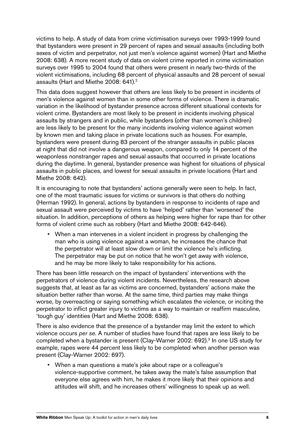victims to help. A study of data from crime victimisation surveys over 1993‑1999 found that bystanders were present in 29 percent of rapes and sexual assaults (including both sexes of victim and perpetrator, not just men's violence against women) (Hart and Miethe 2008: 638). A more recent study of data on violent crime reported in crime victimisation surveys over 1995 to 2004 found that others were present in nearly two-thirds of the violent victimisations, including 68 percent of physical assaults and 28 percent of sexual assaults (Hart and Miethe 2008: 641).<sup>2</sup>

This data does suggest however that others are less likely to be present in incidents of men's violence against women than in some other forms of violence. There is dramatic variation in the likelihood of bystander presence across different situational contexts for violent crime. Bystanders are most likely to be present in incidents involving physical assaults by strangers and in public, while bystanders (other than women's children) are less likely to be present for the many incidents involving violence against women by known men and taking place in private locations such as houses. For example, bystanders were present during 83 percent of the stranger assaults in public places at night that did not involve a dangerous weapon, compared to only 14 percent of the weaponless nonstranger rapes and sexual assaults that occurred in private locations during the daytime. In general, bystander presence was highest for situations of physical assaults in public places, and lowest for sexual assaults in private locations (Hart and Miethe 2008: 642).

It is encouraging to note that bystanders' actions generally were seen to help. In fact, one of the most traumatic issues for victims or survivors is that others do nothing (Herman 1992). In general, actions by bystanders in response to incidents of rape and sexual assault were perceived by victims to have 'helped' rather than 'worsened' the situation. In addition, perceptions of others as helping were higher for rape than for other forms of violent crime such as robbery (Hart and Miethe 2008: 642‑646).

• When a man intervenes in a violent incident in progress by challenging the man who is using violence against a woman, he increases the chance that the perpetrator will at least slow down or limit the violence he's inflicting. The perpetrator may be put on notice that he won't get away with violence, and he may be more likely to take responsibility for his actions.

There has been little research on the impact of bystanders' interventions with the perpetrators of violence during violent incidents. Nevertheless, the research above suggests that, at least as far as victims are concerned, bystanders' actions make the situation better rather than worse. At the same time, third parties may make things worse, by overreacting or saying something which escalates the violence, or inciting the perpetrator to inflict greater injury to victims as a way to maintain or reaffirm masculine, 'tough guy' identities (Hart and Miethe 2008: 638).

There is also evidence that the presence of a bystander may limit the extent to which violence occurs *per se*. A number of studies have found that rapes are less likely to be completed when a bystander is present (Clay‑Warner 2002: 692).3 In one US study for example, rapes were 44 percent less likely to be completed when another person was present (Clay‑Warner 2002: 697).

• When a man questions a mate's joke about rape or a colleague's violence‑supportive comment, he takes away the mate's false assumption that everyone else agrees with him, he makes it more likely that their opinions and attitudes will shift, and he increases others' willingness to speak up as well.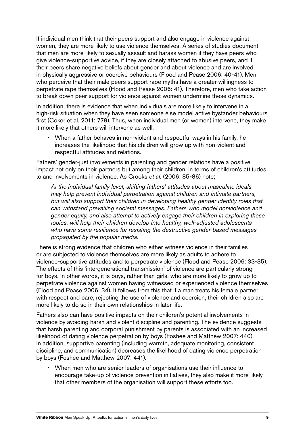If individual men think that their peers support and also engage in violence against women, they are more likely to use violence themselves. A series of studies document that men are more likely to sexually assault and harass women if they have peers who give violence‑supportive advice, if they are closely attached to abusive peers, and if their peers share negative beliefs about gender and about violence and are involved in physically aggressive or coercive behaviours (Flood and Pease 2006: 40‑41). Men who perceive that their male peers support rape myths have a greater willingness to perpetrate rape themselves (Flood and Pease 2006: 41). Therefore, men who take action to break down peer support for violence against women undermine these dynamics.

In addition, there is evidence that when individuals are more likely to intervene in a high-risk situation when they have seen someone else model active bystander behaviours first (Coker et al. 2011: 779). Thus, when individual men (or women) intervene, they make it more likely that others will intervene as well.

• When a father behaves in non-violent and respectful ways in his family, he increases the likelihood that his children will grow up with non-violent and respectful attitudes and relations.

Fathers' gender-just involvements in parenting and gender relations have a positive impact not only on their partners but among their children, in terms of children's attitudes to and involvements in violence. As Crooks *et al.* (2006: 85‑86) note;

*At the individual family level, shifting fathers' attitudes about masculine ideals may help prevent individual perpetration against children and intimate partners, but will also support their children in developing healthy gender identity roles that can withstand prevailing societal messages. Fathers who model nonviolence and gender equity, and also attempt to actively engage their children in exploring these topics, will help their children develop into healthy, well‑adjusted adolescents who have some resilience for resisting the destructive gender‑based messages propagated by the popular media.* 

There is strong evidence that children who either witness violence in their families or are subjected to violence themselves are more likely as adults to adhere to violence‑supportive attitudes and to perpetrate violence (Flood and Pease 2006: 33‑35). The effects of this 'intergenerational transmission' of violence are particularly strong for boys. In other words, it is boys, rather than girls, who are more likely to grow up to perpetrate violence against women having witnessed or experienced violence themselves (Flood and Pease 2006: 34). It follows from this that if a man treats his female partner with respect and care, rejecting the use of violence and coercion, their children also are more likely to do so in their own relationships in later life.

Fathers also can have positive impacts on their children's potential involvements in violence by avoiding harsh and violent discipline and parenting. The evidence suggests that harsh parenting and corporal punishment by parents is associated with an increased likelihood of dating violence perpetration by boys (Foshee and Matthew 2007: 440). In addition, supportive parenting (including warmth, adequate monitoring, consistent discipline, and communication) decreases the likelihood of dating violence perpetration by boys (Foshee and Matthew 2007: 441).

• When men who are senior leaders of organisations use their influence to encourage take-up of violence prevention initiatives, they also make it more likely that other members of the organisation will support these efforts too.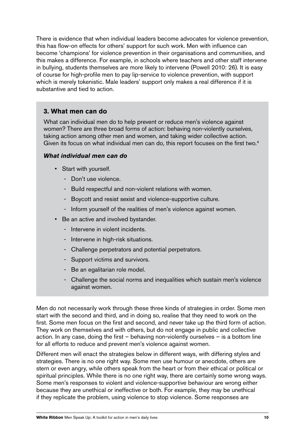There is evidence that when individual leaders become advocates for violence prevention, this has flow‑on effects for others' support for such work. Men with influence can become 'champions' for violence prevention in their organisations and communities, and this makes a difference. For example, in schools where teachers and other staff intervene in bullying, students themselves are more likely to intervene (Powell 2010: 26). It is easy of course for high‑profile men to pay lip‑service to violence prevention, with support which is merely tokenistic. Male leaders' support only makes a real difference if it is substantive and tied to action.

# **3. What men can do**

What can individual men do to help prevent or reduce men's violence against women? There are three broad forms of action: behaving non-violently ourselves, taking action among other men and women, and taking wider collective action. Given its focus on what individual men can do, this report focuses on the first two.<sup>4</sup>

#### *What individual men can do*

- • Start with yourself.
	- Don't use violence.
	- Build respectful and non‑violent relations with women.
	- Boycott and resist sexist and violence‑supportive culture.
	- Inform yourself of the realities of men's violence against women.
- • Be an active and involved bystander.
	- Intervene in violent incidents.
	- Intervene in high-risk situations.
	- Challenge perpetrators and potential perpetrators.
	- Support victims and survivors.
	- Be an egalitarian role model.
	- Challenge the social norms and inequalities which sustain men's violence against women.

Men do not necessarily work through these three kinds of strategies in order. Some men start with the second and third, and in doing so, realise that they need to work on the first. Some men focus on the first and second, and never take up the third form of action. They work on themselves and with others, but do not engage in public and collective action. In any case, doing the first – behaving non‑violently ourselves – is a bottom line for all efforts to reduce and prevent men's violence against women.

Different men will enact the strategies below in different ways, with differing styles and strategies. There is no one right way. Some men use humour or anecdote, others are stern or even angry, while others speak from the heart or from their ethical or political or spiritual principles. While there is no one right way, there are certainly some wrong ways. Some men's responses to violent and violence-supportive behaviour are wrong either because they are unethical or ineffective or both. For example, they may be unethical if they replicate the problem, using violence to stop violence. Some responses are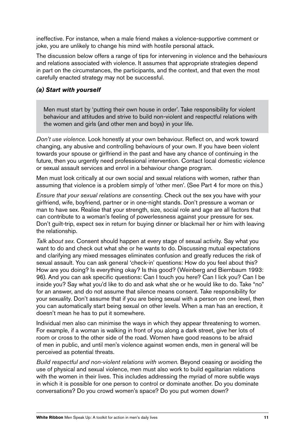ineffective. For instance, when a male friend makes a violence‑supportive comment or joke, you are unlikely to change his mind with hostile personal attack.

The discussion below offers a range of tips for intervening in violence and the behaviours and relations associated with violence. It assumes that appropriate strategies depend in part on the circumstances, the participants, and the context, and that even the most carefully enacted strategy may not be successful.

#### *(a) Start with yourself*

Men must start by 'putting their own house in order'. Take responsibility for violent behaviour and attitudes and strive to build non‑violent and respectful relations with the women and girls (and other men and boys) in your life.

*Don't use violence.* Look honestly at your own behaviour. Reflect on, and work toward changing, any abusive and controlling behaviours of your own. If you have been violent towards your spouse or girlfriend in the past and have any chance of continuing in the future, then you urgently need professional intervention. Contact local domestic violence or sexual assault services and enrol in a behaviour change program.

Men must look critically at our own social and sexual relations with women, rather than assuming that violence is a problem simply of 'other men'. (See Part 4 for more on this.)

*Ensure that your sexual relations are consenting.* Check out the sex you have with your girlfriend, wife, boyfriend, partner or in one‑night stands. Don't pressure a woman or man to have sex. Realise that your strength, size, social role and age are all factors that can contribute to a woman's feeling of powerlessness against your pressure for sex. Don't guilt-trip, expect sex in return for buying dinner or blackmail her or him with leaving the relationship.

*Talk about sex.* Consent should happen at every stage of sexual activity. Say what you want to do and check out what she or he wants to do. Discussing mutual expectations and clarifying any mixed messages eliminates confusion and greatly reduces the risk of sexual assault. You can ask general 'check-in' questions: How do you feel about this? How are you doing? Is everything okay? Is this good? (Weinberg and Biernbaum 1993: 96). And you can ask specific questions: Can I touch you here? Can I lick you? Can I be inside you? Say what you'd like to do and ask what she or he would like to do. Take "no" for an answer, and do not assume that silence means consent. Take responsibility for your sexuality. Don't assume that if you are being sexual with a person on one level, then you can automatically start being sexual on other levels. When a man has an erection, it doesn't mean he has to put it somewhere.

Individual men also can minimise the ways in which they appear threatening to women. For example, if a woman is walking in front of you along a dark street, give her lots of room or cross to the other side of the road. Women have good reasons to be afraid of men in public, and until men's violence against women ends, men in general will be perceived as potential threats.

*Build respectful and non-violent relations with women.* Beyond ceasing or avoiding the use of physical and sexual violence, men must also work to build egalitarian relations with the women in their lives. This includes addressing the myriad of more subtle ways in which it is possible for one person to control or dominate another. Do you dominate conversations? Do you crowd women's space? Do you put women down?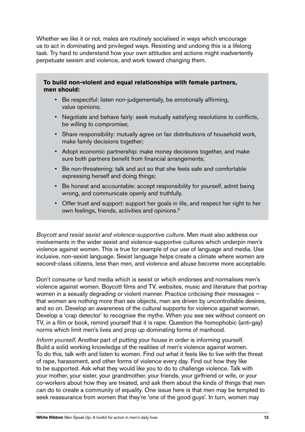Whether we like it or not, males are routinely socialised in ways which encourage us to act in dominating and privileged ways. Resisting and undoing this is a lifelong task. Try hard to understand how your own attitudes and actions might inadvertently perpetuate sexism and violence, and work toward changing them.

### **To build non‑violent and equal relationships with female partners, men should:**

- Be respectful: listen non-judgementally, be emotionally affirming, value opinions;
- Negotiate and behave fairly: seek mutually satisfying resolutions to conflicts, be willing to compromise;
- Share responsibility: mutually agree on fair distributions of household work, make family decisions together;
- Adopt economic partnership: make money decisions together, and make sure both partners benefit from financial arrangements;
- Be non-threatening: talk and act so that she feels safe and comfortable expressing herself and doing things;
- Be honest and accountable: accept responsibility for yourself, admit being wrong, and communicate openly and truthfully.
- Offer trust and support: support her goals in life, and respect her right to her own feelings, friends, activities and opinions.<sup>5</sup>

*Boycott and resist sexist and violence‑supportive culture.* Men must also address our involvements in the wider sexist and violence‑supportive cultures which underpin men's violence against women. This is true for example of our use of language and media. Use inclusive, non‑sexist language. Sexist language helps create a climate where women are second-class citizens, less than men, and violence and abuse become more acceptable.

Don't consume or fund media which is sexist or which endorses and normalises men's violence against women. Boycott films and TV, websites, music and literature that portray women in a sexually degrading or violent manner. Practice criticising their messages – that women are nothing more than sex objects, men are driven by uncontrollable desires, and so on. Develop an awareness of the cultural supports for violence against women. Develop a 'crap detector' to recognise the myths. When you see sex without consent on TV, in a film or book, remind yourself that it is rape. Question the homophobic (anti‑gay) norms which limit men's lives and prop up dominating forms of manhood.

*Inform yourself.* Another part of putting your house in order is informing yourself. Build a solid working knowledge of the realities of men's violence against women. To do this, talk with and listen to women. Find out what it feels like to live with the threat of rape, harassment, and other forms of violence every day. Find out how they like to be supported. Ask what they would like you to do to challenge violence. Talk with your mother, your sister, your grandmother, your friends, your girlfriend or wife, or your co-workers about how they are treated, and ask them about the kinds of things that men can do to create a community of equality. One issue here is that men may be tempted to seek reassurance from women that they're 'one of the good guys'. In turn, women may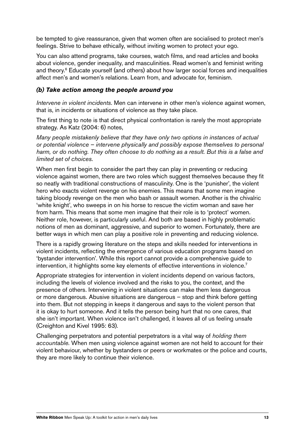be tempted to give reassurance, given that women often are socialised to protect men's feelings. Strive to behave ethically, without inviting women to protect your ego.

You can also attend programs, take courses, watch films, and read articles and books about violence, gender inequality, and masculinities. Read women's and feminist writing and theory.<sup>6</sup> Educate yourself (and others) about how larger social forces and inequalities affect men's and women's relations. Learn from, and advocate for, feminism.

# *(b) Take action among the people around you*

*Intervene in violent incidents.* Men can intervene in other men's violence against women, that is, in incidents or situations of violence as they take place.

The first thing to note is that direct physical confrontation is rarely the most appropriate strategy. As Katz (2004: 6) notes,

*Many people mistakenly believe that they have only two options in instances of actual or potential violence – intervene physically and possibly expose themselves to personal harm, or do nothing. They often choose to do nothing as a result. But this is a false and limited set of choices.*

When men first begin to consider the part they can play in preventing or reducing violence against women, there are two roles which suggest themselves because they fit so neatly with traditional constructions of masculinity. One is the 'punisher', the violent hero who exacts violent revenge on his enemies. This means that some men imagine taking bloody revenge on the men who bash or assault women. Another is the chivalric 'white knight', who sweeps in on his horse to rescue the victim woman and save her from harm. This means that some men imagine that their role is to 'protect' women. Neither role, however, is particularly useful. And both are based in highly problematic notions of men as dominant, aggressive, and superior to women. Fortunately, there are better ways in which men can play a positive role in preventing and reducing violence.

There is a rapidly growing literature on the steps and skills needed for interventions in violent incidents, reflecting the emergence of various education programs based on 'bystander intervention'. While this report cannot provide a comprehensive guide to intervention, it highlights some key elements of effective interventions in violence.<sup>7</sup>

Appropriate strategies for intervention in violent incidents depend on various factors, including the levels of violence involved and the risks to you, the context, and the presence of others. Intervening in violent situations can make them less dangerous or more dangerous. Abusive situations are dangerous – stop and think before getting into them. But not stepping in keeps it dangerous and says to the violent person that it is okay to hurt someone. And it tells the person being hurt that no one cares, that she isn't important. When violence isn't challenged, it leaves all of us feeling unsafe (Creighton and Kivel 1995: 63).

Challenging perpetrators and potential perpetrators is a vital way of *holding them accountable*. When men using violence against women are not held to account for their violent behaviour, whether by bystanders or peers or workmates or the police and courts, they are more likely to continue their violence.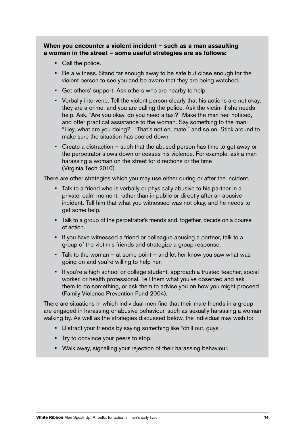#### **When you encounter a violent incident – such as a man assaulting a woman in the street – some useful strategies are as follows:**

- Call the police.
- Be a witness. Stand far enough away to be safe but close enough for the violent person to see you and be aware that they are being watched.
- Get others' support. Ask others who are nearby to help.
- Verbally intervene. Tell the violent person clearly that his actions are not okay, they are a crime, and you are calling the police. Ask the victim if she needs help. Ask, "Are you okay, do you need a taxi?" Make the man feel noticed, and offer practical assistance to the woman. Say something to the man: "Hey, what are you doing?" "That's not on, mate," and so on. Stick around to make sure the situation has cooled down.
- Create a distraction such that the abused person has time to get away or the perpetrator slows down or ceases his violence. For example, ask a man harassing a woman on the street for directions or the time (Virginia Tech 2010).

There are other strategies which you may use either during or after the incident.

- Talk to a friend who is verbally or physically abusive to his partner in a private, calm moment, rather than in public or directly after an abusive incident. Tell him that what you witnessed was not okay, and he needs to get some help.
- Talk to a group of the perpetrator's friends and, together, decide on a course of action.
- If you have witnessed a friend or colleague abusing a partner, talk to a group of the victim's friends and strategize a group response.
- $\blacksquare$  Talk to the woman at some point and let her know you saw what was going on and you're willing to help her.
- If you're a high school or college student, approach a trusted teacher, social worker, or health professional. Tell them what you've observed and ask them to do something, or ask them to advise you on how you might proceed (Family Violence Prevention Fund 2004).

There are situations in which individual men find that their male friends in a group are engaged in harassing or abusive behaviour, such as sexually harassing a woman walking by. As well as the strategies discussed below, the individual may wish to:

- Distract your friends by saying something like "chill out, guys".
- • Try to convince your peers to stop.
- Walk away, signalling your rejection of their harassing behaviour.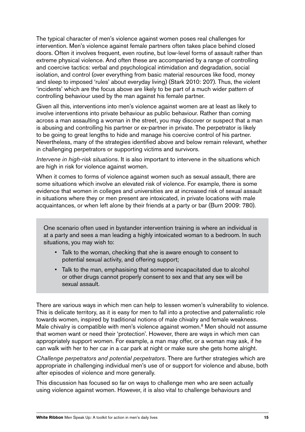The typical character of men's violence against women poses real challenges for intervention. Men's violence against female partners often takes place behind closed doors. Often it involves frequent, even routine, but low‑level forms of assault rather than extreme physical violence. And often these are accompanied by a range of controlling and coercive tactics: verbal and psychological intimidation and degradation, social isolation, and control (over everything from basic material resources like food, money and sleep to imposed 'rules' about everyday living) (Stark 2010: 207). Thus, the violent 'incidents' which are the focus above are likely to be part of a much wider pattern of controlling behaviour used by the man against his female partner.

Given all this, interventions into men's violence against women are at least as likely to involve interventions into private behaviour as public behaviour. Rather than coming across a man assaulting a woman in the street, you may discover or suspect that a man is abusing and controlling his partner or ex-partner in private. The perpetrator is likely to be going to great lengths to hide and manage his coercive control of his partner. Nevertheless, many of the strategies identified above and below remain relevant, whether in challenging perpetrators or supporting victims and survivors.

*Intervene in high-risk situations.* It is also important to intervene in the situations which are high in risk for violence against women.

When it comes to forms of violence against women such as sexual assault, there are some situations which involve an elevated risk of violence. For example, there is some evidence that women in colleges and universities are at increased risk of sexual assault in situations where they or men present are intoxicated, in private locations with male acquaintances, or when left alone by their friends at a party or bar (Burn 2009: 780).

One scenario often used in bystander intervention training is where an individual is at a party and sees a man leading a highly intoxicated woman to a bedroom. In such situations, you may wish to:

- Talk to the woman, checking that she is aware enough to consent to potential sexual activity, and offering support;
- Talk to the man, emphasising that someone incapacitated due to alcohol or other drugs cannot properly consent to sex and that any sex will be sexual assault.

There are various ways in which men can help to lessen women's vulnerability to violence. This is delicate territory, as it is easy for men to fall into a protective and paternalistic role towards women, inspired by traditional notions of male chivalry and female weakness. Male chivalry is compatible with men's violence against women.<sup>8</sup> Men should not assume that women want or need their 'protection'. However, there are ways in which men can appropriately support women. For example, a man may offer, or a woman may ask, if he can walk with her to her car in a car park at night or make sure she gets home alright.

*Challenge perpetrators and potential perpetrators.* There are further strategies which are appropriate in challenging individual men's use of or support for violence and abuse, both after episodes of violence and more generally.

This discussion has focused so far on ways to challenge men who are seen actually using violence against women. However, it is also vital to challenge behaviours and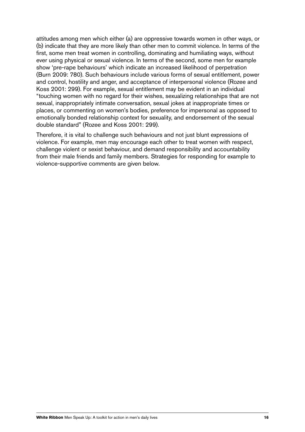attitudes among men which either (a) are oppressive towards women in other ways, or (b) indicate that they are more likely than other men to commit violence. In terms of the first, some men treat women in controlling, dominating and humiliating ways, without ever using physical or sexual violence. In terms of the second, some men for example show 'pre‑rape behaviours' which indicate an increased likelihood of perpetration (Burn 2009: 780). Such behaviours include various forms of sexual entitlement, power and control, hostility and anger, and acceptance of interpersonal violence (Rozee and Koss 2001: 299). For example, sexual entitlement may be evident in an individual "touching women with no regard for their wishes, sexualizing relationships that are not sexual, inappropriately intimate conversation, sexual jokes at inappropriate times or places, or commenting on women's bodies, preference for impersonal as opposed to emotionally bonded relationship context for sexuality, and endorsement of the sexual double standard" (Rozee and Koss 2001: 299).

Therefore, it is vital to challenge such behaviours and not just blunt expressions of violence. For example, men may encourage each other to treat women with respect, challenge violent or sexist behaviour, and demand responsibility and accountability from their male friends and family members. Strategies for responding for example to violence‑supportive comments are given below.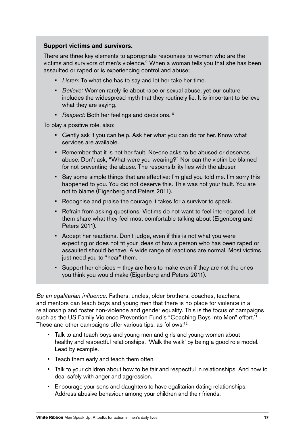### **Support victims and survivors.**

There are three key elements to appropriate responses to women who are the victims and survivors of men's violence.<sup>9</sup> When a woman tells you that she has been assaulted or raped or is experiencing control and abuse;

- • *Listen:* To what she has to say and let her take her time.
- • *Believe:* Women rarely lie about rape or sexual abuse, yet our culture includes the widespread myth that they routinely lie. It is important to believe what they are saying.
- *Respect:* Both her feelings and decisions.<sup>10</sup>

To play a positive role, also:

- Gently ask if you can help. Ask her what you can do for her. Know what services are available.
- Remember that it is not her fault. No-one asks to be abused or deserves abuse. Don't ask, "What were you wearing?" Nor can the victim be blamed for not preventing the abuse. The responsibility lies with the abuser.
- • Say some simple things that are effective: I'm glad you told me. I'm sorry this happened to you. You did not deserve this. This was not your fault. You are not to blame (Eigenberg and Peters 2011).
- Recognise and praise the courage it takes for a survivor to speak.
- Refrain from asking questions. Victims do not want to feel interrogated. Let them share what they feel most comfortable talking about (Eigenberg and Peters 2011).
- Accept her reactions. Don't judge, even if this is not what you were expecting or does not fit your ideas of how a person who has been raped or assaulted should behave. A wide range of reactions are normal. Most victims just need you to "hear" them.
- Support her choices  $-$  they are hers to make even if they are not the ones you think you would make (Eigenberg and Peters 2011).

*Be an egalitarian influence.* Fathers, uncles, older brothers, coaches, teachers, and mentors can teach boys and young men that there is no place for violence in a relationship and foster non-violence and gender equality. This is the focus of campaigns such as the US Family Violence Prevention Fund's "Coaching Boys Into Men" effort.<sup>11</sup> These and other campaigns offer various tips, as follows:<sup>12</sup>

- Talk to and teach boys and young men and girls and young women about healthy and respectful relationships. 'Walk the walk' by being a good role model. Lead by example.
- • Teach them early and teach them often.
- Talk to your children about how to be fair and respectful in relationships. And how to deal safely with anger and aggression.
- Encourage your sons and daughters to have egalitarian dating relationships. Address abusive behaviour among your children and their friends.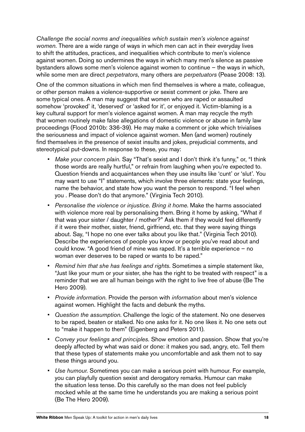*Challenge the social norms and inequalities which sustain men's violence against women.* There are a wide range of ways in which men can act in their everyday lives to shift the attitudes, practices, and inequalities which contribute to men's violence against women. Doing so undermines the ways in which many men's silence as passive bystanders allows some men's violence against women to continue – the ways in which, while some men are direct *perpetrators*, many others are *perpetuators* (Pease 2008: 13).

One of the common situations in which men find themselves is where a mate, colleague, or other person makes a violence‑supportive or sexist comment or joke. There are some typical ones. A man may suggest that women who are raped or assaulted somehow 'provoked' it, 'deserved' or 'asked for it', or enjoyed it. Victim-blaming is a key cultural support for men's violence against women. A man may recycle the myth that women routinely make false allegations of domestic violence or abuse in family law proceedings (Flood 2010b: 336‑39). He may make a comment or joke which trivialises the seriousness and impact of violence against women. Men (and women) routinely find themselves in the presence of sexist insults and jokes, prejudicial comments, and stereotypical put-downs. In response to these, you may:

- Make your concern plain. Say "That's sexist and I don't think it's funny," or, "I think those words are really hurtful," or refrain from laughing when you're expected to. Question friends and acquaintances when they use insults like 'cunt' or 'slut'. You may want to use "I" statements, which involve three elements: state your feelings, name the behavior, and state how you want the person to respond. "I feel when you . Please don't do that anymore." (Virginia Tech 2010).
- *Personalise the violence or injustice. Bring it home*. Make the harms associated with violence more real by personalising them. Bring it home by asking, "What if that was your sister / daughter / mother?" Ask them if they would feel differently if it were their mother, sister, friend, girlfriend, etc. that they were saying things about. Say, "I hope no one ever talks about you like that." (Virginia Tech 2010). Describe the experiences of people you know or people you've read about and could know. "A good friend of mine was raped. It's a terrible experience – no woman ever deserves to be raped or wants to be raped."
- • *Remind him that she has feelings and rights*. Sometimes a simple statement like, "Just like your mum or your sister, she has the right to be treated with respect" is a reminder that we are all human beings with the right to live free of abuse (Be The Hero 2009).
- • *Provide information.* Provide the person with *information* about men's violence against women. Highlight the facts and debunk the myths.
- • *Question the assumption*. Challenge the logic of the statement. No one deserves to be raped, beaten or stalked. No one asks for it. No one likes it. No one sets out to "make it happen to them" (Eigenberg and Peters 2011).
- • *Convey your feelings and principles.* Show emotion and passion. Show that you're deeply affected by what was said or done: it makes you sad, angry, etc. Tell them that these types of statements make you uncomfortable and ask them not to say these things around you.
- • *Use humour.* Sometimes you can make a serious point with humour. For example, you can playfully question sexist and derogatory remarks. Humour can make the situation less tense. Do this carefully so the man does not feel publicly mocked while at the same time he understands you are making a serious point (Be The Hero 2009).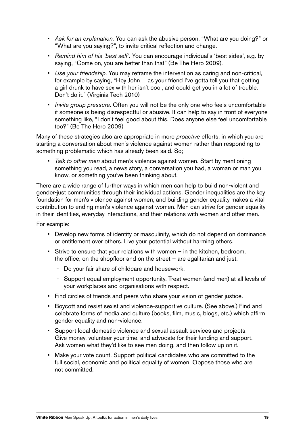- • *Ask for an explanation.* You can ask the abusive person, "What are you doing?" or "What are you saying?", to invite critical reflection and change.
- *Remind him of his 'best self'.* You can encourage individual's 'best sides', e.g. by saying, "Come on, you are better than that" (Be The Hero 2009).
- *Use your friendship*. You may reframe the intervention as caring and non-critical, for example by saying, "Hey John… as your friend I've gotta tell you that getting a girl drunk to have sex with her isn't cool, and could get you in a lot of trouble. Don't do it." (Virginia Tech 2010)
- *Invite group pressure*. Often you will not be the only one who feels uncomfortable if someone is being disrespectful or abusive. It can help to say in front of everyone something like, "I don't feel good about this. Does anyone else feel uncomfortable too?" (Be The Hero 2009)

Many of these strategies also are appropriate in more *proactive* efforts, in which you are starting a conversation about men's violence against women rather than responding to something problematic which has already been said. So;

Talk to other men about men's violence against women. Start by mentioning something you read, a news story, a conversation you had, a woman or man you know, or something you've been thinking about.

There are a wide range of further ways in which men can help to build non-violent and gender‑just communities through their individual actions. Gender inequalities are the key foundation for men's violence against women, and building gender equality makes a vital contribution to ending men's violence against women. Men can strive for gender equality in their identities, everyday interactions, and their relations with women and other men.

For example:

- Develop new forms of identity or masculinity, which do not depend on dominance or entitlement over others. Live your potential without harming others.
- Strive to ensure that your relations with women in the kitchen, bedroom, the office, on the shopfloor and on the street  $-$  are egalitarian and just.
	- Do your fair share of childcare and housework.
	- Support equal employment opportunity. Treat women (and men) at all levels of your workplaces and organisations with respect.
- Find circles of friends and peers who share your vision of gender justice.
- Boycott and resist sexist and violence-supportive culture. (See above.) Find and celebrate forms of media and culture (books, film, music, blogs, etc.) which affirm gender equality and non‑violence.
- • Support local domestic violence and sexual assault services and projects. Give money, volunteer your time, and advocate for their funding and support. Ask women what they'd like to see men doing, and then follow up on it.
- Make your vote count. Support political candidates who are committed to the full social, economic and political equality of women. Oppose those who are not committed.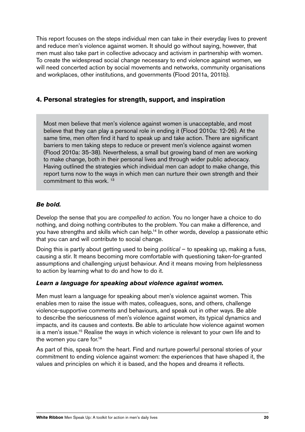This report focuses on the steps individual men can take in their everyday lives to prevent and reduce men's violence against women. It should go without saying, however, that men must also take part in collective advocacy and activism in partnership with women. To create the widespread social change necessary to end violence against women, we will need concerted action by social movements and networks, community organisations and workplaces, other institutions, and governments (Flood 2011a, 2011b).

# **4. Personal strategies for strength, support, and inspiration**

Most men believe that men's violence against women is unacceptable, and most believe that they can play a personal role in ending it (Flood 2010a: 12‑26). At the same time, men often find it hard to speak up and take action. There are significant barriers to men taking steps to reduce or prevent men's violence against women (Flood 2010a: 35‑38). Nevertheless, a small but growing band of men are working to make change, both in their personal lives and through wider public advocacy. Having outlined the strategies which individual men can adopt to make change, this report turns now to the ways in which men can nurture their own strength and their commitment to this work. 13

# *Be bold.*

Develop the sense that you are *compelled to action*. You no longer have a choice to do nothing, and doing nothing contributes to the problem. You can make a difference, and you have strengths and skills which can help.14 In other words, develop a passionate ethic that you can and will contribute to social change.

Doing this is partly about getting used to being *political* – to speaking up, making a fuss, causing a stir. It means becoming more comfortable with questioning taken-for-granted assumptions and challenging unjust behaviour. And it means moving from helplessness to action by learning what to do and how to do it.

#### *Learn a language for speaking about violence against women.*

Men must learn a language for speaking about men's violence against women. This enables men to raise the issue with mates, colleagues, sons, and others, challenge violence‑supportive comments and behaviours, and speak out in other ways. Be able to describe the seriousness of men's violence against women, its typical dynamics and impacts, and its causes and contexts. Be able to articulate how violence against women is a men's issue.15 Realise the ways in which violence is relevant to your own life and to the women you care for.16

As part of this, speak from the heart. Find and nurture powerful personal stories of your commitment to ending violence against women: the experiences that have shaped it, the values and principles on which it is based, and the hopes and dreams it reflects.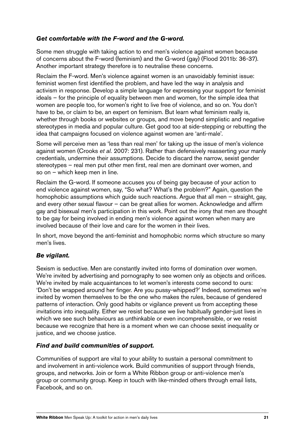# *Get comfortable with the F‑word and the G‑word.*

Some men struggle with taking action to end men's violence against women because of concerns about the F‑word (feminism) and the G‑word (gay) (Flood 2011b: 36‑37). Another important strategy therefore is to neutralise these concerns.

Reclaim the F‑word. Men's violence against women is an unavoidably feminist issue: feminist women first identified the problem, and have led the way in analysis and activism in response. Develop a simple language for expressing your support for feminist ideals – for the principle of equality between men and women, for the simple idea that women are people too, for women's right to live free of violence, and so on. You don't have to be, or claim to be, an expert on feminism. But learn what feminism really is, whether through books or websites or groups, and move beyond simplistic and negative stereotypes in media and popular culture. Get good too at side-stepping or rebutting the idea that campaigns focused on violence against women are 'anti-male'.

Some will perceive men as 'less than real men' for taking up the issue of men's violence against women (Crooks *et al.* 2007: 231). Rather than defensively reasserting your manly credentials, undermine their assumptions. Decide to discard the narrow, sexist gender stereotypes – real men put other men first, real men are dominant over women, and so on – which keep men in line.

Reclaim the G-word. If someone accuses you of being gay because of your action to end violence against women, say, "So what? What's the problem?" Again, question the homophobic assumptions which guide such reactions. Argue that all men – straight, gay, and every other sexual flavour  $-$  can be great allies for women. Acknowledge and affirm gay and bisexual men's participation in this work. Point out the irony that men are thought to be gay for being involved in ending men's violence against women when many are involved because of their love and care for the women in their lives.

In short, move beyond the anti‑feminist and homophobic norms which structure so many men's lives.

# *Be vigilant.*

Sexism is seductive. Men are constantly invited into forms of domination over women. We're invited by advertising and pornography to see women only as objects and orifices. We're invited by male acquaintances to let women's interests come second to ours: 'Don't be wrapped around her finger. Are you pussy‑whipped?' Indeed, sometimes we're invited by women themselves to be the one who makes the rules, because of gendered patterns of interaction. Only good habits or vigilance prevent us from accepting these invitations into inequality. Either we resist because we live habitually gender-just lives in which we see such behaviours as unthinkable or even incomprehensible, or we resist because we recognize that here is a moment when we can choose sexist inequality or justice, and we choose justice.

#### *Find and build communities of support.*

Communities of support are vital to your ability to sustain a personal commitment to and involvement in anti-violence work. Build communities of support through friends, groups, and networks. Join or form a White Ribbon group or anti-violence men's group or community group. Keep in touch with like-minded others through email lists, Facebook, and so on.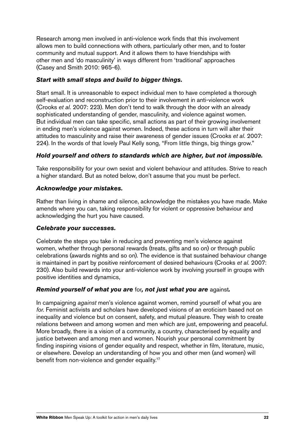Research among men involved in anti‑violence work finds that this involvement allows men to build connections with others, particularly other men, and to foster community and mutual support. And it allows them to have friendships with other men and 'do masculinity' in ways different from 'traditional' approaches (Casey and Smith 2010: 965‑6).

# *Start with small steps and build to bigger things.*

Start small. It is unreasonable to expect individual men to have completed a thorough self-evaluation and reconstruction prior to their involvement in anti-violence work (Crooks *et al.* 2007: 223). Men don't tend to walk through the door with an already sophisticated understanding of gender, masculinity, and violence against women. But individual men can take specific, small actions as part of their growing involvement in ending men's violence against women. Indeed, these actions in turn will alter their attitudes to masculinity and raise their awareness of gender issues (Crooks *et al.* 2007: 224). In the words of that lovely Paul Kelly song, "From little things, big things grow."

#### *Hold yourself and others to standards which are higher, but not impossible.*

Take responsibility for your own sexist and violent behaviour and attitudes. Strive to reach a higher standard. But as noted below, don't assume that you must be perfect.

# *Acknowledge your mistakes.*

Rather than living in shame and silence, acknowledge the mistakes you have made. Make amends where you can, taking responsibility for violent or oppressive behaviour and acknowledging the hurt you have caused.

#### *Celebrate your successes.*

Celebrate the steps you take in reducing and preventing men's violence against women, whether through personal rewards (treats, gifts and so on) or through public celebrations (awards nights and so on). The evidence is that sustained behaviour change is maintained in part by positive reinforcement of desired behaviours (Crooks *et al.* 2007: 230). Also build rewards into your anti-violence work by involving yourself in groups with positive identities and dynamics,

#### *Remind yourself of what you are* for*, not just what you are* against*.*

In campaigning *against* men's violence against women, remind yourself of what you are *for*. Feminist activists and scholars have developed visions of an eroticism based not on inequality and violence but on consent, safety, and mutual pleasure. They wish to create relations between and among women and men which are just, empowering and peaceful. More broadly, there is a vision of a community, a country, characterised by equality and justice between and among men and women. Nourish your personal commitment by finding inspiring visions of gender equality and respect, whether in film, literature, music, or elsewhere. Develop an understanding of how you and other men (and women) will benefit from non-violence and gender equality.<sup>17</sup>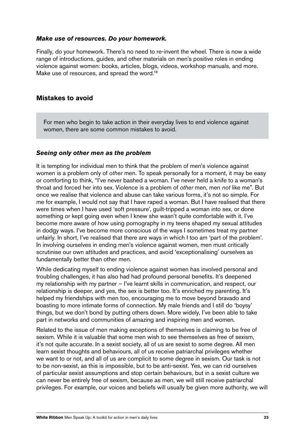#### *Make use of resources. Do your homework.*

Finally, do your homework. There's no need to re‑invent the wheel. There is now a wide range of introductions, guides, and other materials on men's positive roles in ending violence against women: books, articles, blogs, videos, workshop manuals, and more. Make use of resources, and spread the word.<sup>18</sup>

# **Mistakes to avoid**

For men who begin to take action in their everyday lives to end violence against women, there are some common mistakes to avoid.

#### *Seeing only other men as the problem*

It is tempting for individual men to think that the problem of men's violence against women is a problem only of *other* men. To speak personally for a moment, it may be easy or comforting to think, "I've never bashed a woman. I've never held a knife to a woman's throat and forced her into sex. Violence is a problem of *other* men, men *not* like me". But once we realise that violence and abuse can take various forms, it's not so simple. For me for example, I would not say that I have raped a woman. But I have realised that there were times when I have used 'soft pressure', guilt-tripped a woman into sex, or done something or kept going even when I knew she wasn't quite comfortable with it. I've become more aware of how using pornography in my teens shaped my sexual attitudes in dodgy ways. I've become more conscious of the ways I sometimes treat my partner unfairly. In short, I've realised that there are ways in which I too am 'part of the problem'. In involving ourselves in ending men's violence against women, men must critically scrutinise our own attitudes and practices, and avoid 'exceptionalising' ourselves as fundamentally better than other men.

While dedicating myself to ending violence against women has involved personal and troubling challenges, it has also had had profound personal benefits. It's deepened my relationship with my partner – I've learnt skills in communication, and respect, our relationship is deeper, and yes, the sex is better too. It's enriched my parenting. It's helped my friendships with men too, encouraging me to move beyond bravado and boasting to more intimate forms of connection. My male friends and I still do 'boysy' things, but we don't bond by putting others down. More widely, I've been able to take part in networks and communities of amazing and inspiring men and women.

Related to the issue of men making exceptions of themselves is claiming to be free of sexism. While it is valuable that some men wish to see themselves as free of sexism, it's not quite accurate. In a sexist society, all of us are sexist to some degree. All men learn sexist thoughts and behaviours, all of us receive patriarchal privileges whether we want to or not, and all of us are complicit to some degree in sexism. Our task is not to be non‑sexist, as this is impossible, but to be anti‑sexist. Yes, we can rid ourselves of particular sexist assumptions and stop certain behaviours, but in a sexist culture we can never be entirely free of sexism, because as men, we will still receive patriarchal privileges. For example, our voices and beliefs will usually be given more authority, we will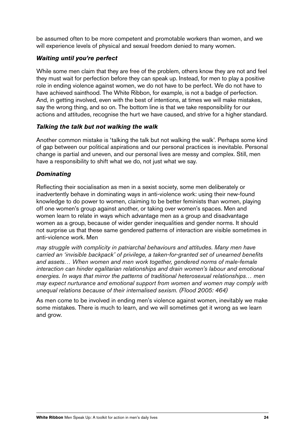be assumed often to be more competent and promotable workers than women, and we will experience levels of physical and sexual freedom denied to many women.

# *Waiting until you're perfect*

While some men claim that they are free of the problem, others know they are not and feel they must wait for perfection before they can speak up. Instead, for men to play a positive role in ending violence against women, we do not have to be perfect. We do not have to have achieved sainthood. The White Ribbon, for example, is not a badge of perfection. And, in getting involved, even with the best of intentions, at times we will make mistakes, say the wrong thing, and so on. The bottom line is that we take responsibility for our actions and attitudes, recognise the hurt we have caused, and strive for a higher standard.

# *Talking the talk but not walking the walk*

Another common mistake is 'talking the talk but not walking the walk'. Perhaps some kind of gap between our political aspirations and our personal practices is inevitable. Personal change is partial and uneven, and our personal lives are messy and complex. Still, men have a responsibility to shift what we do, not just what we say.

# *Dominating*

Reflecting their socialisation as men in a sexist society, some men deliberately or inadvertently behave in dominating ways in anti-violence work: using their new-found knowledge to do power to women, claiming to be better feminists than women, playing off one women's group against another, or taking over women's spaces. Men and women learn to relate in ways which advantage men as a group and disadvantage women as a group, because of wider gender inequalities and gender norms. It should not surprise us that these same gendered patterns of interaction are visible sometimes in anti‑violence work. Men

*may struggle with complicity in patriarchal behaviours and attitudes. Many men have carried an 'invisible backpack' of privilege, a taken‑for‑granted set of unearned benefits*  and assets... When women and men work together, gendered norms of male-female *interaction can hinder egalitarian relationships and drain women's labour and emotional energies. In ways that mirror the patterns of traditional heterosexual relationships… men may expect nurturance and emotional support from women and women may comply with unequal relations because of their internalised sexism. (Flood 2005: 464)*

As men come to be involved in ending men's violence against women, inevitably we make some mistakes. There is much to learn, and we will sometimes get it wrong as we learn and grow.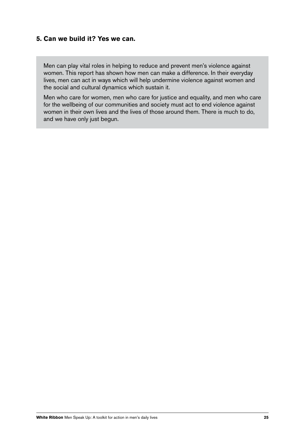# **5. Can we build it? Yes we can.**

Men can play vital roles in helping to reduce and prevent men's violence against women. This report has shown how men can make a difference. In their everyday lives, men can act in ways which will help undermine violence against women and the social and cultural dynamics which sustain it.

Men who care for women, men who care for justice and equality, and men who care for the wellbeing of our communities and society must act to end violence against women in their own lives and the lives of those around them. There is much to do, and we have only just begun.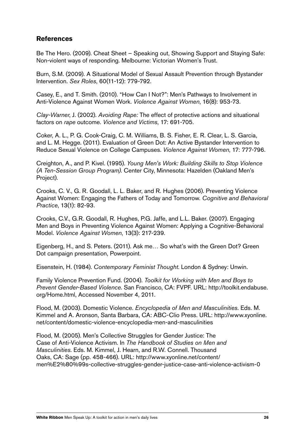# **References**

Be The Hero. (2009). Cheat Sheet – Speaking out, Showing Support and Staying Safe: Non‑violent ways of responding. Melbourne: Victorian Women's Trust.

Burn, S.M. (2009). A Situational Model of Sexual Assault Prevention through Bystander Intervention. *Sex Roles*, 60(11‑12): 779‑792.

Casey, E., and T. Smith. (2010). "How Can I Not?": Men's Pathways to Involvement in Anti‑Violence Against Women Work. *Violence Against Women*, 16(8): 953‑73.

*Clay‑Warner*, J. (2002). *Avoiding Rape:* The effect of protective actions and situational factors on *rape* outcome. *Violence and Victims*, 17: 691‑705.

Coker, A. L., P. G. Cook‑Craig, C. M. Williams, B. S. Fisher, E. R. Clear, L. S. Garcia, and L. M. Hegge. (2011). Evaluation of Green Dot: An Active Bystander Intervention to Reduce Sexual Violence on College Campuses. *Violence Against Women*, 17: 777‑796.

Creighton, A., and P. Kivel. (1995). *Young Men's Work: Building Skills to Stop Violence (A Ten‑Session Group Program)*. Center City, Minnesota: Hazelden (Oakland Men's Project).

Crooks, C. V., G. R. Goodall, L. L. Baker, and R. Hughes (2006). Preventing Violence Against Women: Engaging the Fathers of Today and Tomorrow. *Cognitive and Behavioral Practice*, 13(1): 82‑93.

Crooks, C.V., G.R. Goodall, R. Hughes, P.G. Jaffe, and L.L. Baker. (2007). Engaging Men and Boys in Preventing Violence Against Women: Applying a Cognitive-Behavioral Model. *Violence Against Women*, 13(3): 217‑239.

Eigenberg, H., and S. Peters. (2011). Ask me… So what's with the Green Dot? Green Dot campaign presentation, Powerpoint.

Eisenstein, H. (1984). *Contemporary Feminist Thought*. London & Sydney: Unwin.

Family Violence Prevention Fund. (2004). *Toolkit for Working with Men and Boys to Prevent Gender‑Based Violence*. San Francisco, CA: FVPF. URL: http://toolkit.endabuse. org/Home.html, Accessed November 4, 2011.

Flood, M. (2003). Domestic Violence. *Encyclopedia of Men and Masculinities*. Eds. M. Kimmel and A. Aronson, Santa Barbara, CA: ABC‑Clio Press. URL: http://www.xyonline. net/content/domestic‑violence‑encyclopedia‑men‑and‑masculinities

Flood, M. (2005). Men's Collective Struggles for Gender Justice: The Case of Anti‑Violence Activism. In *The Handbook of Studies on Men and Masculinities*. Eds. M. Kimmel, J. Hearn, and R.W. Connell. Thousand Oaks, CA: Sage (pp. 458‑466). URL: http://www.xyonline.net/content/ men%E2%80%99s-collective-struggles-gender-justice-case-anti-violence-activism-0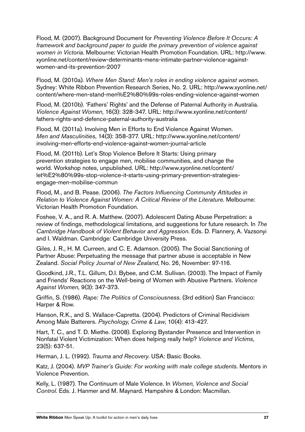Flood, M. (2007). Background Document for *Preventing Violence Before It Occurs: A framework and background paper to guide the primary prevention of violence against women in Victoria*. Melbourne: Victorian Health Promotion Foundation. URL: http://www. xyonline.net/content/review-determinants-mens-intimate-partner-violence-againstwomen-and-its-prevention-2007

Flood, M. (2010a). *Where Men Stand: Men's roles in ending violence against women*. Sydney: White Ribbon Prevention Research Series, No. 2. URL: http://www.xyonline.net/ content/where-men-stand-men%E2%80%99s-roles-ending-violence-against-women

Flood, M. (2010b). 'Fathers' Rights' and the Defense of Paternal Authority in Australia. *Violence Against Women*, 16(3): 328‑347. URL: http://www.xyonline.net/content/ fathers-rights-and-defence-paternal-authority-australia

Flood, M. (2011a). Involving Men in Efforts to End Violence Against Women. *Men and Masculinities*, 14(3): 358‑377. URL: http://www.xyonline.net/content/ involving‑men‑efforts‑end‑violence‑against‑women‑journal‑article

Flood, M. (2011b). Let's Stop Violence Before It Starts: Using primary prevention strategies to engage men, mobilise communities, and change the world. Workshop notes, unpublished. URL: http://www.xyonline.net/content/ let%E2%80%99s-stop-violence-it-starts-using-primary-prevention-strategiesengage‑men‑mobilise‑commun

Flood, M., and B. Pease. (2006). *The Factors Influencing Community Attitudes in Relation to Violence Against Women: A Critical Review of the Literature*. Melbourne: Victorian Health Promotion Foundation.

Foshee, V. A., and R. A. Matthew. (2007). Adolescent Dating Abuse Perpetration: a review of findings, methodological limitations, and suggestions for future research. In *The Cambridge Handbook of Violent Behavior and Aggression*. Eds. D. Flannery, A. Vazsonyi and I. Waldman. Cambridge: Cambridge University Press.

Giles, J. R., H. M. Curreen, and C. E. Adamson. (2005). The Social Sanctioning of Partner Abuse: Perpetuating the message that partner abuse is acceptable in New Zealand. *Social Policy Journal of New Zealand*, No. 26, November: 97‑116.

Goodkind, J.R., T.L. Gillum, D.I. Bybee, and C.M. Sullivan. (2003). The Impact of Family and Friends' Reactions on the Well‑being of Women with Abusive Partners. *Violence Against Women*, 9(3): 347‑373.

Griffin, S. (1986). *Rape: The Politics of Consciousness*. (3rd edition) San Francisco: Harper & Row.

Hanson, R.K., and S. Wallace‑Capretta. (2004). Predictors of Criminal Recidivism Among Male Batterers. *Psychology, Crime & Law*, 10(4): 413‑427.

Hart, T. C., and T. D. Miethe. (2008). Exploring Bystander Presence and Intervention in Nonfatal Violent Victimization: When does helping really help? *Violence and Victims*, 23(5): 637‑51.

Herman, J. L. (1992). *Trauma and Recovery*. USA: Basic Books.

Katz, J. (2004). *MVP Trainer's Guide: For working with male college students*. Mentors in Violence Prevention.

Kelly, L. (1987). The Continuum of Male Violence. In *Women, Violence and Social Control*. Eds. J. Hanmer and M. Maynard. Hampshire & London: Macmillan.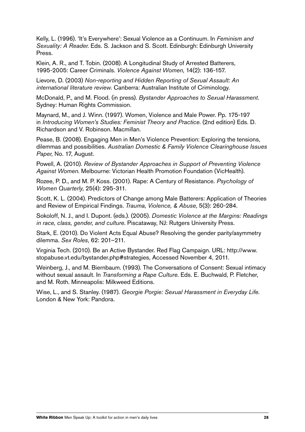Kelly, L. (1996). 'It's Everywhere': Sexual Violence as a Continuum. In *Feminism and Sexuality: A Reader*. Eds. S. Jackson and S. Scott. Edinburgh: Edinburgh University Press.

Klein, A. R., and T. Tobin. (2008). A Longitudinal Study of Arrested Batterers, 1995‑2005: Career Criminals. *Violence Against Women*, 14(2): 136‑157.

Lievore, D. (2003) *Non‑reporting and Hidden Reporting of Sexual Assault: An international literature review*. Canberra: Australian Institute of Criminology.

McDonald, P., and M. Flood. (in press). *Bystander Approaches to Sexual Harassment*. Sydney: Human Rights Commission.

Maynard, M., and J. Winn. (1997). Women, Violence and Male Power. Pp. 175‑197 in *Introducing Women's Studies: Feminist Theory and Practice*. (2nd edition) Eds. D. Richardson and V. Robinson. Macmillan.

Pease, B. (2008). Engaging Men in Men's Violence Prevention: Exploring the tensions, dilemmas and possibilities. *Australian Domestic & Family Violence Clearinghouse Issues Paper*, No. 17, August.

Powell, A. (2010). *Review of Bystander Approaches in Support of Preventing Violence Against Women*. Melbourne: Victorian Health Promotion Foundation (VicHealth).

Rozee, P. D., and M. P. Koss. (2001). Rape: A Century of Resistance. *Psychology of Women Quarterly*, 25(4): 295‑311.

Scott, K. L. (2004). Predictors of Change among Male Batterers: Application of Theories and Review of Empirical Findings. *Trauma, Violence, & Abuse*, 5(3): 260‑284.

Sokoloff, N. J., and I. Dupont. (eds.). (2005). *Domestic Violence at the Margins: Readings in race, class, gender, and culture*. Piscataway, NJ: Rutgers University Press.

Stark, E. (2010). Do Violent Acts Equal Abuse? Resolving the gender parity/asymmetry dilemma. *Sex Roles*, 62: 201–211.

Virginia Tech. (2010). Be an Active Bystander. Red Flag Campaign. URL: http://www. stopabuse.vt.edu/bystander.php#strategies, Accessed November 4, 2011.

Weinberg, J., and M. Biernbaum. (1993). The Conversations of Consent: Sexual intimacy without sexual assault. In *Transforming a Rape Culture*. Eds. E. Buchwald, P. Fletcher, and M. Roth. Minneapolis: Milkweed Editions.

Wise, L., and S. Stanley. (1987). *Georgie Porgie: Sexual Harassment in Everyday Life*. London & New York: Pandora.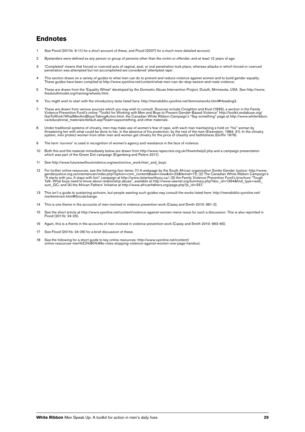# **Endnotes**

- 1 See Flood (2011b: 9‑11) for a short account of these, and Flood (2007) for a much more detailed account.
- 2 Bystanders were defined as any person or group of persons other than the victim or offender, and at least 12 years of age.
- 3 'Completed' means that forced or coerced acts of vaginal, anal, or oral penetration took place, whereas attacks in which forced or coerced penetration was attempted but not accomplished are considered 'attempted rape'.
- 4 This section draws on a variety of guides to what men can do to prevent and reduce violence against women and to build gender equality. These guides have been compiled at http://www.xyonline.net/content/what‑men‑can‑do‑stop‑sexism‑and‑male‑violence.
- 5 These are drawn from the 'Equality Wheel' developed by the Domestic Abuse Intervention Project, Duluth, Minnesota, USA. See http://www. theduluthmodel.org/training/wheels.html.
- 6 You might wish to start with the introductory texts listed here: http://mensbiblio.xyonline.net/feministworks.html#Heading3.
- 7 These are drawn from various sources which you may wish to consult. Sources include Creighton and Kivel (1995), a section in the Family<br>Violence Prevention Fund's online "Toolkit for Working with Men and Boys to Prevent
- 8 Under traditional systems of chivalry, men may make use of women's fear of rape, with each man maintaining a hold on "his" woman by<br>threatening her with what could be done to her, in the absence of his protection, by the
- 9 The term 'survivor' is used in recognition of women's agency and resistance in the face of violence.
- 10 Both this and the material immediately below are drawn from http://www.rapecrisis.org.uk/Howtohelp2.php and a campaign presentation which was part of the Green Dot campaign (Eigenberg and Peters 2011).
- 11 See http://www.futureswithoutviolence.org/section/our\_work/men\_and\_boys.
- 12 For further online resources, see the following four items: (1) A webpage by the South African organisation Sonke Gender Justice: http://www.<br>genderjustice.org.za/onemancan/index.php?option=com\_content&task=view&id=22&I
- 13 This isn't a guide to sustaining activism, but people wanting such guides may consult the works listed here: http://mensbiblio.xyonline.net/ menfeminism.html#Socialchange.
- 14 This is one theme in the accounts of men involved in violence prevention work (Casey and Smith 2010: 961‑2).
- 15 See the short article at http://www.xyonline.net/content/violence‑against‑women‑mens‑issue for such a discussion. This is also reprinted in Flood (2011b: 24‑25).
- 16 Again, this is a theme in the accounts of men involved in violence prevention work (Casey and Smith 2010: 963‑65).
- 17 See Flood (2011b: 24‑26) for a brief discussion of these.
- 18 See the following for a short guide to key online resources: http://www.xyonline.net/content/<br>online-resources-men%E2%80%99s-roles-stopping-violence-against-women-one-page-handout.